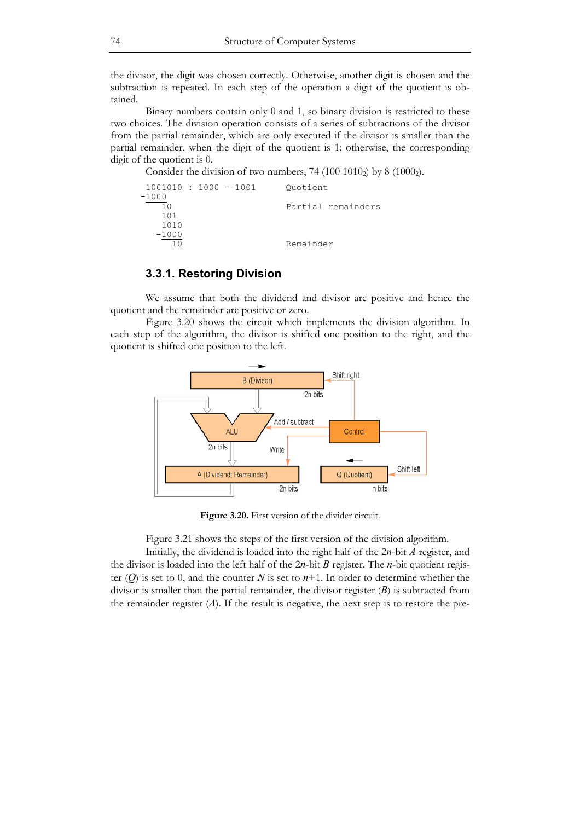the divisor, the digit was chosen correctly. Otherwise, another digit is chosen and the subtraction is repeated. In each step of the operation a digit of the quotient is obtained.

 Binary numbers contain only 0 and 1, so binary division is restricted to these two choices. The division operation consists of a series of subtractions of the divisor from the partial remainder, which are only executed if the divisor is smaller than the partial remainder, when the digit of the quotient is 1; otherwise, the corresponding digit of the quotient is 0.

Consider the division of two numbers,  $74 (100 1010<sub>2</sub>)$  by  $8 (1000<sub>2</sub>)$ .

 1001010 : 1000 = 1001 Quotient  $-\frac{1000}{10}$ Partial remainders 101 1010  $-\frac{1000}{10}$ Remainder

### **3.3.1. Restoring Division**

 We assume that both the dividend and divisor are positive and hence the quotient and the remainder are positive or zero.

 Figure 3.20 shows the circuit which implements the division algorithm. In each step of the algorithm, the divisor is shifted one position to the right, and the quotient is shifted one position to the left.



**Figure 3.20.** First version of the divider circuit.

Figure 3.21 shows the steps of the first version of the division algorithm.

 Initially, the dividend is loaded into the right half of the 2*n*-bit *A* register, and the divisor is loaded into the left half of the 2*n*-bit *B* register. The *n*-bit quotient register  $(Q)$  is set to 0, and the counter N is set to  $n+1$ . In order to determine whether the divisor is smaller than the partial remainder, the divisor register (*B*) is subtracted from the remainder register  $(A)$ . If the result is negative, the next step is to restore the pre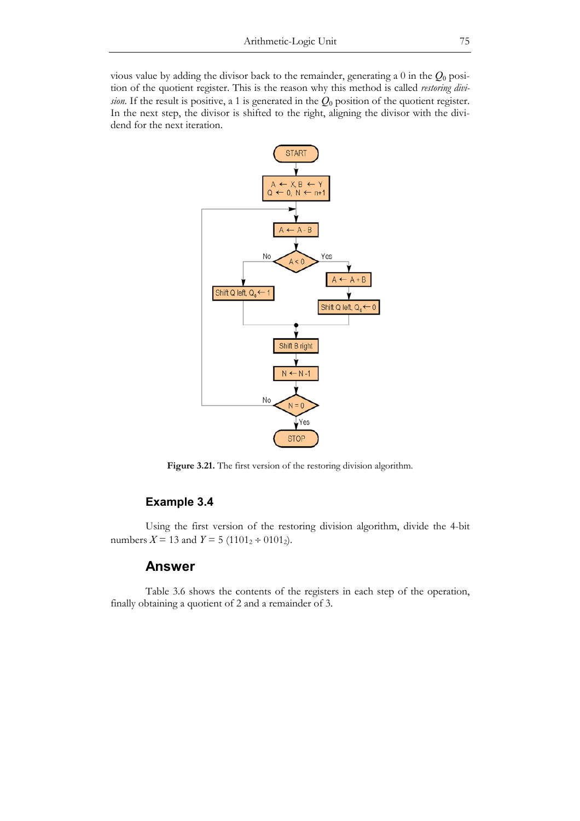vious value by adding the divisor back to the remainder, generating a 0 in the *Q*0 position of the quotient register. This is the reason why this method is called *restoring division*. If the result is positive, a 1 is generated in the *Q*0 position of the quotient register. In the next step, the divisor is shifted to the right, aligning the divisor with the dividend for the next iteration.



Figure 3.21. The first version of the restoring division algorithm.

# **Example 3.4**

 Using the first version of the restoring division algorithm, divide the 4-bit numbers  $X = 13$  and  $Y = 5 (1101<sub>2</sub> \div 0101<sub>2</sub>).$ 

## **Answer**

 Table 3.6 shows the contents of the registers in each step of the operation, finally obtaining a quotient of 2 and a remainder of 3.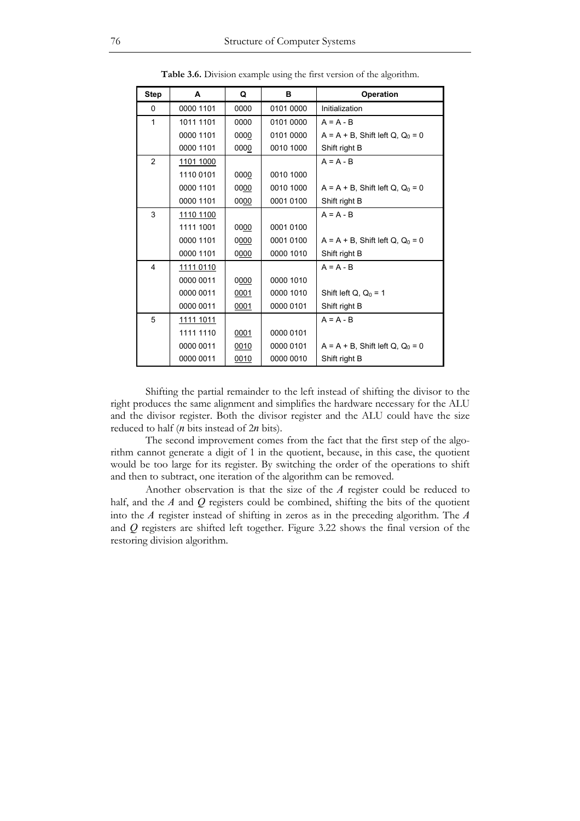| <b>Step</b>             | A         | Q    | в         | Operation                                      |
|-------------------------|-----------|------|-----------|------------------------------------------------|
| 0                       | 0000 1101 | 0000 | 0101 0000 | Initialization                                 |
| 1                       | 1011 1101 | 0000 | 0101 0000 | $A = A - B$                                    |
|                         | 0000 1101 | 0000 | 0101 0000 | $A = A + B$ , Shift left Q, Q <sub>0</sub> = 0 |
|                         | 0000 1101 | 0000 | 0010 1000 | Shift right B                                  |
| 2                       | 1101 1000 |      |           | $A = A - B$                                    |
|                         | 1110 0101 | 0000 | 0010 1000 |                                                |
|                         | 0000 1101 | 0000 | 0010 1000 | $A = A + B$ , Shift left Q, Q <sub>0</sub> = 0 |
|                         | 0000 1101 | 0000 | 0001 0100 | Shift right B                                  |
| 3                       | 1110 1100 |      |           | $A = A - B$                                    |
|                         | 1111 1001 | 0000 | 0001 0100 |                                                |
|                         | 0000 1101 | 0000 | 0001 0100 | $A = A + B$ , Shift left Q, Q <sub>0</sub> = 0 |
|                         | 0000 1101 | 0000 | 0000 1010 | Shift right B                                  |
| $\overline{\mathbf{4}}$ | 1111 0110 |      |           | $A = A - B$                                    |
|                         | 0000 0011 | 0000 | 0000 1010 |                                                |
|                         | 0000 0011 | 0001 | 0000 1010 | Shift left $Q$ , $Q_0 = 1$                     |
|                         | 0000 0011 | 0001 | 0000 0101 | Shift right B                                  |
| 5                       | 1111 1011 |      |           | $A = A - B$                                    |
|                         | 1111 1110 | 0001 | 0000 0101 |                                                |
|                         | 0000 0011 | 0010 | 0000 0101 | $A = A + B$ , Shift left Q, Q <sub>0</sub> = 0 |
|                         | 0000 0011 | 0010 | 0000 0010 | Shift right B                                  |

**Table 3.6.** Division example using the first version of the algorithm.

 Shifting the partial remainder to the left instead of shifting the divisor to the right produces the same alignment and simplifies the hardware necessary for the ALU and the divisor register. Both the divisor register and the ALU could have the size reduced to half (*n* bits instead of 2*n* bits).

 The second improvement comes from the fact that the first step of the algorithm cannot generate a digit of 1 in the quotient, because, in this case, the quotient would be too large for its register. By switching the order of the operations to shift and then to subtract, one iteration of the algorithm can be removed.

 Another observation is that the size of the *A* register could be reduced to half, and the *A* and *Q* registers could be combined, shifting the bits of the quotient into the *A* register instead of shifting in zeros as in the preceding algorithm. The *A* and *Q* registers are shifted left together. Figure 3.22 shows the final version of the restoring division algorithm.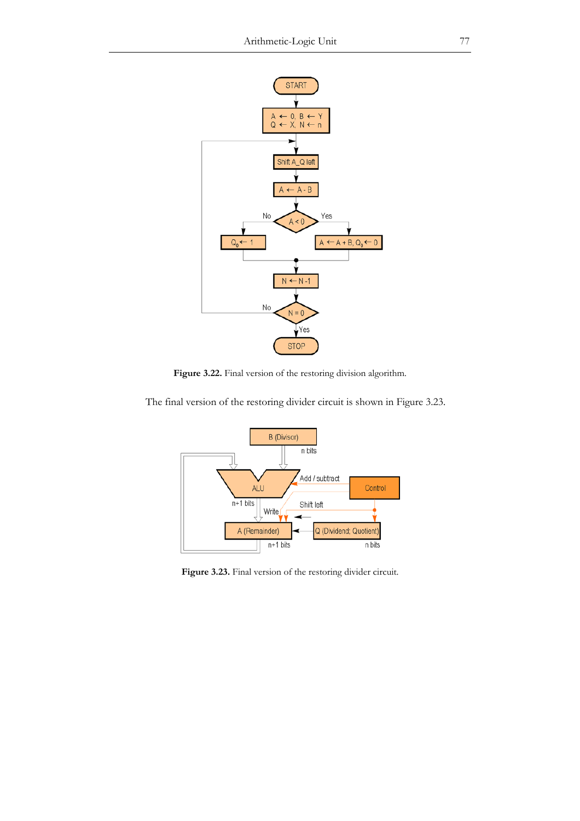

**Figure 3.22.** Final version of the restoring division algorithm.

The final version of the restoring divider circuit is shown in Figure 3.23.



Figure 3.23. Final version of the restoring divider circuit.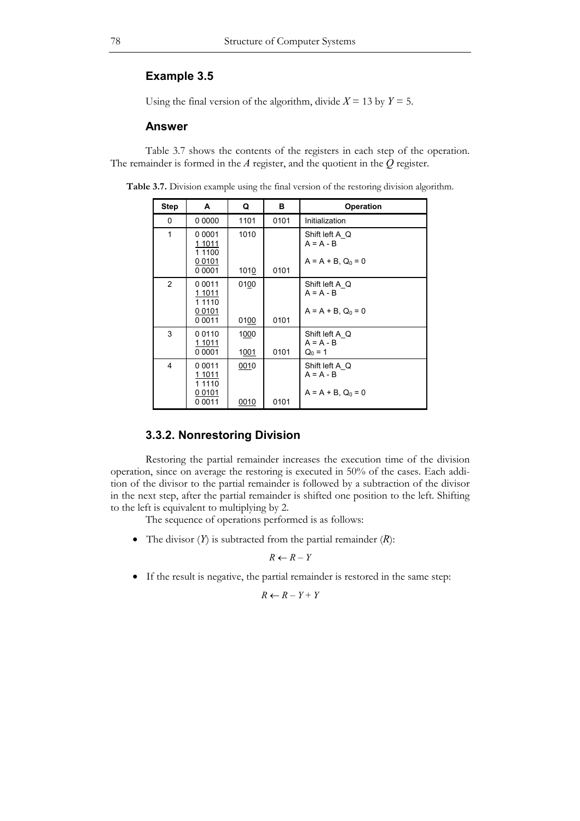## **Example 3.5**

Using the final version of the algorithm, divide  $X = 13$  by  $Y = 5$ .

### **Answer**

 Table 3.7 shows the contents of the registers in each step of the operation. The remainder is formed in the *A* register, and the quotient in the *Q* register.

| <b>Step</b>    | A                                                             | Q            | в    | <b>Operation</b>                                         |
|----------------|---------------------------------------------------------------|--------------|------|----------------------------------------------------------|
| 0              | 0 0000                                                        | 1101         | 0101 | Initialization                                           |
| 1              | 0 0 0 0 1<br>1 1011<br>1 1 1 0 0<br>00101<br>0 0001           | 1010<br>1010 | 0101 | Shift left A Q<br>$A = A - B$<br>$A = A + B$ , $Q_0 = 0$ |
| $\overline{2}$ | 0 0 0 1 1<br>1 1011<br>1 1110<br>00101<br>0 0 0 1 1           | 0100<br>0100 | 0101 | Shift left A Q<br>$A = A - B$<br>$A = A + B$ , $Q_0 = 0$ |
| 3              | 00110<br>1 1011<br>0 0001                                     | 1000<br>1001 | 0101 | Shift left A Q<br>$A = A - B$<br>$Q_0 = 1$               |
| 4              | 0 0 0 1 1<br>1 1011<br>1 1 1 1 0<br><u>00101</u><br>0 0 0 1 1 | 0010<br>0010 | 0101 | Shift left A Q<br>$A = A - B$<br>$A = A + B$ , $Q_0 = 0$ |

**Table 3.7.** Division example using the final version of the restoring division algorithm.

# **3.3.2. Nonrestoring Division**

 Restoring the partial remainder increases the execution time of the division operation, since on average the restoring is executed in 50% of the cases. Each addition of the divisor to the partial remainder is followed by a subtraction of the divisor in the next step, after the partial remainder is shifted one position to the left. Shifting to the left is equivalent to multiplying by 2.

The sequence of operations performed is as follows:

• The divisor (*Y*) is subtracted from the partial remainder (*R*):

$$
R \leftarrow R - Y
$$

• If the result is negative, the partial remainder is restored in the same step:

$$
R \leftarrow R - Y + Y
$$